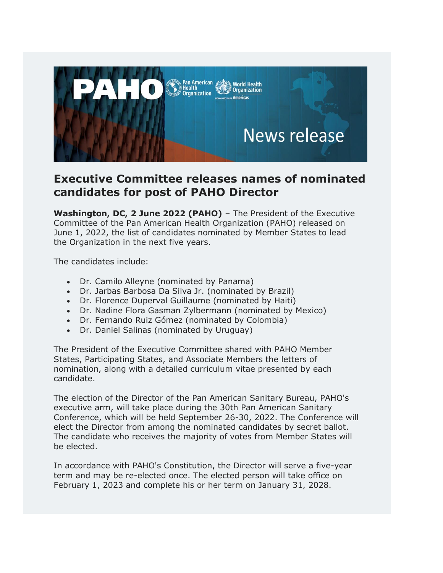

## **Executive Committee releases names of nominated candidates for post of PAHO Director**

**Washington, DC, 2 June 2022 (PAHO)** – The President of the Executive Committee of the Pan American Health Organization (PAHO) released on June 1, 2022, the list of candidates nominated by Member States to lead the Organization in the next five years.

The candidates include:

- Dr. Camilo Alleyne (nominated by Panama)
- Dr. Jarbas Barbosa Da Silva Jr. (nominated by Brazil)
- Dr. Florence Duperval Guillaume (nominated by Haiti)
- Dr. Nadine Flora Gasman Zylbermann (nominated by Mexico)
- Dr. Fernando Ruiz Gómez (nominated by Colombia)
- Dr. Daniel Salinas (nominated by Uruguay)

The President of the Executive Committee shared with PAHO Member States, Participating States, and Associate Members the letters of nomination, along with a detailed curriculum vitae presented by each candidate.

The election of the Director of the Pan American Sanitary Bureau, PAHO's executive arm, will take place during the 30th Pan American Sanitary Conference, which will be held September 26-30, 2022. The Conference will elect the Director from among the nominated candidates by secret ballot. The candidate who receives the majority of votes from Member States will be elected.

In accordance with PAHO's Constitution, the Director will serve a five-year term and may be re-elected once. The elected person will take office on February 1, 2023 and complete his or her term on January 31, 2028.